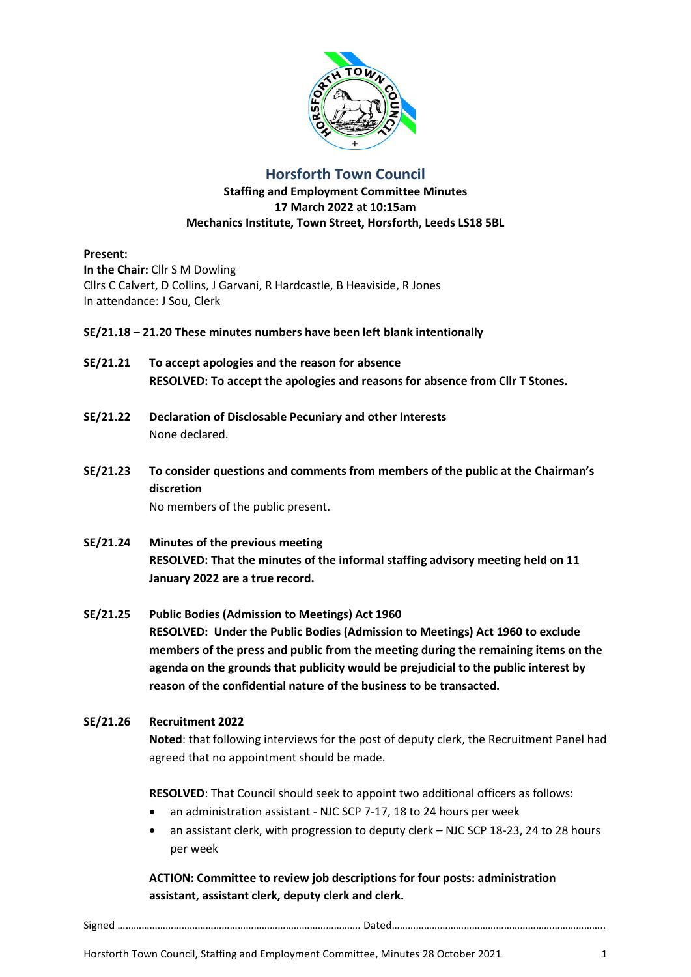

# **Horsforth Town Council**

### **Staffing and Employment Committee Minutes 17 March 2022 at 10:15am Mechanics Institute, Town Street, Horsforth, Leeds LS18 5BL**

#### **Present:**

**In the Chair:** Cllr S M Dowling Cllrs C Calvert, D Collins, J Garvani, R Hardcastle, B Heaviside, R Jones In attendance: J Sou, Clerk

### **SE/21.18 – 21.20 These minutes numbers have been left blank intentionally**

- **SE/21.21 To accept apologies and the reason for absence RESOLVED: To accept the apologies and reasons for absence from Cllr T Stones.**
- **SE/21.22 Declaration of Disclosable Pecuniary and other Interests** None declared.
- **SE/21.23 To consider questions and comments from members of the public at the Chairman's discretion**

No members of the public present.

- **SE/21.24 Minutes of the previous meeting RESOLVED: That the minutes of the informal staffing advisory meeting held on 11 January 2022 are a true record.**
- **SE/21.25 Public Bodies (Admission to Meetings) Act 1960 RESOLVED: Under the Public Bodies (Admission to Meetings) Act 1960 to exclude members of the press and public from the meeting during the remaining items on the agenda on the grounds that publicity would be prejudicial to the public interest by reason of the confidential nature of the business to be transacted.**

### **SE/21.26 Recruitment 2022**

**Noted**: that following interviews for the post of deputy clerk, the Recruitment Panel had agreed that no appointment should be made.

**RESOLVED**: That Council should seek to appoint two additional officers as follows:

- an administration assistant NJC SCP 7-17, 18 to 24 hours per week
- an assistant clerk, with progression to deputy clerk NJC SCP 18-23, 24 to 28 hours per week

**ACTION: Committee to review job descriptions for four posts: administration assistant, assistant clerk, deputy clerk and clerk.**

Signed ………………………………………………………………………………. Dated……………………………………………………………………..

Horsforth Town Council, Staffing and Employment Committee, Minutes 28 October 2021 1